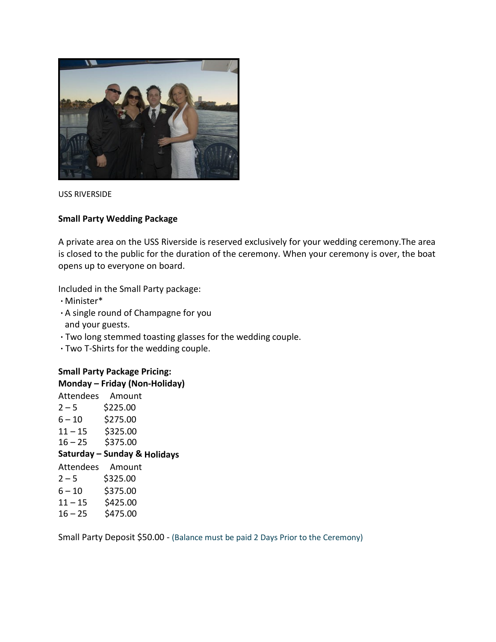

USS RIVERSIDE

## **Small Party Wedding Package**

A private area on the USS Riverside is reserved exclusively for your wedding ceremony.The area is closed to the public for the duration of the ceremony. When your ceremony is over, the boat opens up to everyone on board.

Included in the Small Party package:

- **·** Minister\*
- **·** A single round of Champagne for you and your guests.
- **·** Two long stemmed toasting glasses for the wedding couple.
- **·** Two T-Shirts for the wedding couple.

## **Small Party Package Pricing:**

**Monday – Friday (Non-Holiday) Holidays Saturday – Sunday &**Attendees Amount  $2 - 5$  \$325.00  $6 - 10$  \$375.00  $11 - 15$  \$425.00 Attendees Amount  $2 - 5$  \$225.00  $6 - 10$  \$275.00  $11 - 15$  \$325.00  $16 - 25$  \$375.00

 $16 - 25$  \$475.00

Small Party Deposit \$50.00 - (Balance must be paid 2 Days Prior to the Ceremony)